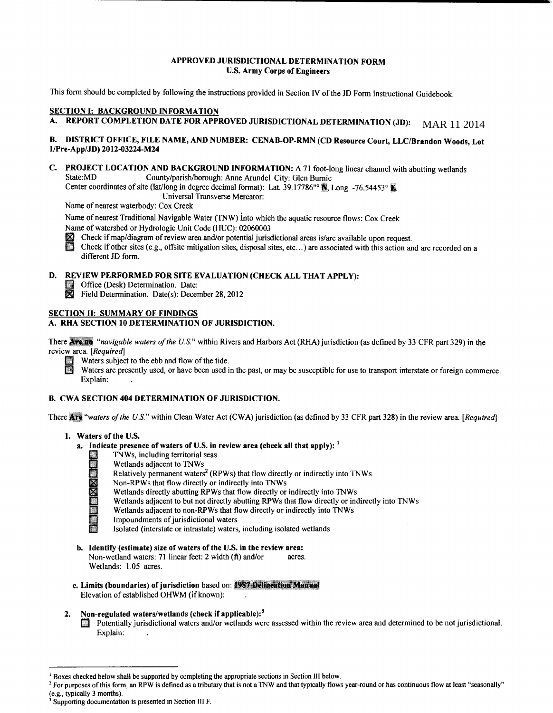# **APPROVED JURISDICTIONAL DETERMINATION FORM U.S. Army Corps of Engineers**

This form should be completed by following the instructions provided in Section IV of the JD Form Instructional Guidebook.

# **SECTION 1: BACKGROUND INFORMATION**

#### **REPORT COMPLETION DATE FOR APPROVED JURISDICTIONAL DETERMINATION (JD):** MAR 11 2014

# **B. DISTRICT OFFICE, FILE NAME, AND NUMBER: CENAB-OP-RMN (CD Resource Court, LLC/Brandon Woods, Lot 1/Pre-App/JD) 2012-03224-M24**

**C. PROJECT LOCATION AND BACKGROUND INFORMATION:** A 71 foot-long linear channel with abutting wetlands<br>State:MD County/parish/borough: Anne Arundel City: Glen Burnie County/parish/borough: Anne Arundel City: Glen Burnie

Center coordinates of site (lat/long in degree decimal format): Lat. 39.17786"<sup>o</sup> 1. Long. -76.54453° 1.

Universal Transverse Mercator:

Name of nearest waterbody: Cox Creek

Name of nearest Traditional Navigable Water (TNW) into which the aquatic resource flows: Cox Creek Name of watershed or Hydrologic Unit Code (HUC): 02060003

**11** Check if map/diagram of review area and/or potential jurisdictional areas is/are available upon request.<br>**11** Check if other sites (e.g., offsite mitigation sites, disposal sites, etc...) are associated with this acti Check if other sites (e.g., offsite mitigation sites, disposal sites, etc...) are associated with this action and are recorded on a different JD form.

# **D. REVIEW PERFORMED FOR SITE EVALUATION (CHECK ALL THAT APPLY):**<br> **II** Office (Desk) Determination. Date:<br> **IX** Field Determination. Date(s): December 28, 2012

- 
- Field Determination. Date(s): December 28, 2012

# **SECTION II: SUMMARY OF FINDINGS**

# **A. RHA SECTION 10 DETERMINATION OF JURISDICTION.**

There Are no "navigable waters of the U.S." within Rivers and Harbors Act (RHA) jurisdiction (as defined by 33 CFR part 329) in the review area. *[Required]* 



Waters subject to the ebb and flow of the tide.

Waters are presently used, or have been used in the past, or may be susceptible for use to transport interstate or foreign commerce. Explain:

# **B. CWA SECTION 404 DETERMINATION OF JURISDICTION.**

There Are "waters of the U.S." within Clean Water Act (CWA) jurisdiction (as defined by 33 CFR part 328) in the review area. [Required]

# 1. Waters of the U.S.

- **a. Indicate presence of waters of U.S. in review area (check all that apply):** <sup>1</sup>
	- I THE THE THE THE THE THE THE WAS INCOMENDED WELL THE MANUSCRIPT WAS RELATED FOR NORTH THAT THE NAME OF THE NAME OF THE NAME OF THE NAME OF THE NAME OF THE NAME OF THE NAME OF THE NAME OF THE NAME OF THE NAME OF THE NAME O
		- Wetlands adjacent to TNWs
		- **EXECUTE:** Relatively permanent waters<sup>2</sup> (RPWs) that flow directly or indirectly into TNWs
		- Non-RPWs that flow directly or indirectly into TNWs
	- No<br>International<br>International<br>International<br>International<br>International<br>International<br>International Wetlands directly abutting RPWs that flow directly or indirectly into TNWs
		- Wetlands adjacent to but not directly abutting RPWs that flow directly or indirectly into TNWs
		- Wetlands adjacent to non-RPWs that flow directly or indirectly into TNWs
		- Impoundments of jurisdictional waters
		- Isolated (interstate or intrastate) waters, including isolated wetlands
- **b. Identify (estimate) size of waters of the** U.S. **in the review area:**  Non-wetland waters: 71 linear feet: 2 width (ft) and/or acres. Wetlands: 1.05 acres.
- **c. Limits (boundaries) of jurisdiction based on: 1987 Delineation Manual** Elevation of established OHWM (if known):
- **2. Non-regulated waters/wetlands (check if applicable): <sup>3</sup>**
	- **Ill Potentially jurisdictional waters and/or wetlands were assessed within the review area and determined to be not jurisdictional.** Explain:

<sup>&</sup>lt;sup>1</sup> Boxes checked below shall be supported by completing the appropriate sections in Section III below.<br><sup>2</sup> For purposes of this form, an RPW is defined as a tributary that is not a TNW and that typically flows year-round

Supporting documentation is presented in Section III.F.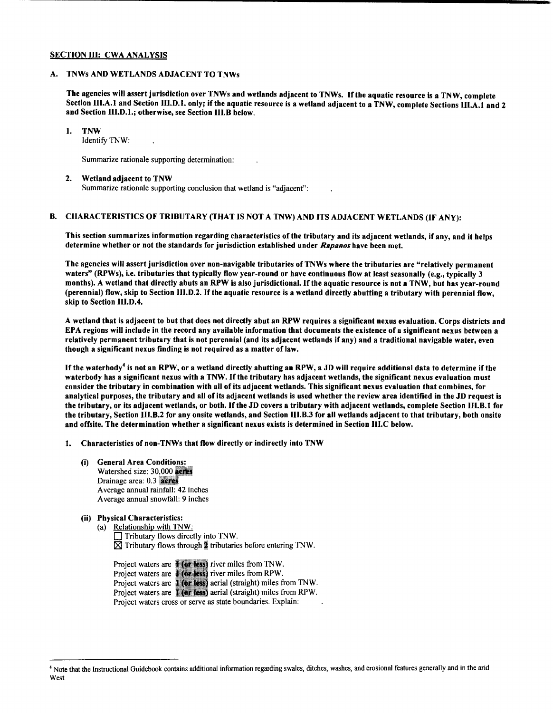# SECTION III: CWA ANALYSIS

# A. TNWs AND WETLANDS ADJACENT TO TNWs

The agencies will assert jurisdiction over TNWs and wetlands adjacent to TNWs. lfthe aquatic resource is a TNW, complete Section III.A.l and Section III.D.l. only; if the aquatic resource is a wetland adjacent to a TNW, complete Sections III.A.l and 2 and Section III.D.l.; otherwise, see Section III.B below.

#### I. TNW

Identify TNW:

Summarize rationale supporting determination:

2. Wetland adjacent to TNW Summarize rationale supporting conclusion that wetland is "adjacent":

#### B. CHARACTERISTICS OF TRIBUTARY (THAT IS NOT A TNW) AND ITS ADJACENT WETLANDS (IF ANY):

This section summarizes information regarding characteristics of the tributary and its adjacent wetlands, if any, and it helps determine whether or not the standards for jurisdiction established under *Rapanos* have been met.

The agencies will assert jurisdiction over non-navigable tributaries ofTNWs where the tributaries are "relatively permanent waters" (RPWs), i.e. tributaries that typically flow year-round or have continuous flow at least seasonally (e.g., typically 3 months). A wetland that directly abuts an RPW is also jurisdictional. If the aquatic resource is not a TNW, but has year-round (perennial) flow, skip to Section III.D.2. If the aquatic resource is a wetland directly abutting a tributary with perennial flow, skip to Section Ili.D.4.

A wetland that is adjacent to but that does not directly abut an RPW requires a significant nexus evaluation. Corps districts and EPA regions will include in the record any available information that documents the existence of a significant nexus between a relatively permanent tributary that is not perennial (and its adjacent wetlands if any) and a traditional navigable water, even though a significant nexus finding is not required as a matter of law.

If the waterbody<sup>4</sup> is not an RPW, or a wetland directly abutting an RPW, a JD will require additional data to determine if the waterbody has a significant nexus with a TNW. If the tributary has adjacent wetlands, the significant nexus evaluation must consider the tributary in combination with all of its adjacent wetlands. This significant nexus evaluation that combines, for analytical purposes, the tributary and all of its adjacent wetlands is used whether the review area identified in the JD request is the tributary, or its adjacent wetlands, or both. If the JD covers a tributary with adjacent wetlands, complete Section Ill.B.l for the tributary, Section III.B.2 for any onsite wetlands, and Section Ili.B.3 for all wetlands adjacent to that tributary, both onsite and offsite. The determination whether a significant nexus exists is determined in Section III.C below.

- I. Characteristics of non-TNWs that flow directly or indirectly into TNW
	- (i) General Area Conditions: Watershed size: 30,000 acres Drainage area: 0.3 meres Average annual rainfall: 42 inches Average annual snowfall: 9 inches

# (ii) Physical Characteristics:

(a) Relationship with TNW: Tributary flows directly into TNW.  $\boxtimes$  Tributary flows through  $\ddot{\ddot{\textbf{x}}}$  tributaries before entering TNW.

Project waters are **for less** river miles from TNW. Project waters are **River less** river miles from RPW. Project waters are **all the set of the set of the set of the TNW**. Project waters are **1 (or less)** aerial (straight) miles from RPW. Project waters cross or serve as state boundaries. Explain:

<sup>4</sup> Note that the Instructional Guidebook contains additional infonnation regarding swales, ditches, washes, and erosional features generally and in the arid West.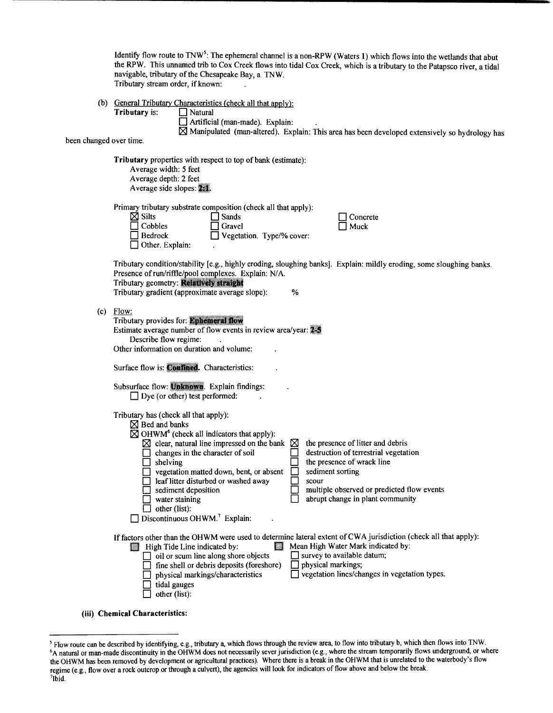Identify flow route to TNW<sup>5</sup>: The ephemeral channel is a non-RPW (Waters 1) which flows into the wetlands that abut the RPW. This unnamed trib to Cox Creek flows into tidal Cox Creek, which is a tributary to the Patapsco river, a tidal navigable, tributary of the Chesapeake Bay, a TNW. Tributary stream order, if known:

(b) General Tributary Characteristics (check all that apply):

**Tributary** is:  $\Box$  Natural

 $\Box$  Artificial (man-made). Explain:

 $\boxtimes$  Manipulated (man-altered). Explain: This area has been developed extensively so hydrology has

been changed over time.

Tributary properties with respect to top of bank (estimate): Average width: *5* feet Average depth: 2 feet Average side slopes: ##.

Primary tributary substrate composition (check all that apply):

 $\Box$  Bedrock  $\Box$  Vegetation. Type/% cover:

| $\boxtimes$ Silts | l Sands       |
|-------------------|---------------|
| $\Box$ Cobbles    | $\Box$ Gravel |

 $\Box$  Other. Explain:

0 Concrete  $\mathsf{l}$  Muck

Tributary condition/stability [e.g., highly eroding, sloughing banks]. Explain: mildly eroding, some sloughing banks. Presence of run/riffle/pool complexes. Explain: N/A.<br>Tributary geometry: **Relatively straight** 

Tributary gradient (approximate average slope): %

 $(c)$ 

| Flow:                                                            |   |                                       |
|------------------------------------------------------------------|---|---------------------------------------|
| Tributary provides for: Ephemeral flow                           |   |                                       |
| Estimate average number of flow events in review area/year: 2    |   |                                       |
| Describe flow regime:                                            |   |                                       |
| Other information on duration and volume:                        |   |                                       |
| Surface flow is: Confined. Characteristics:                      |   |                                       |
| Subsurface flow: Unknown. Explain findings:                      |   |                                       |
| $\Box$ Dye (or other) test performed:                            |   |                                       |
| Tributary has (check all that apply):                            |   |                                       |
| $\boxtimes$ Bed and banks                                        |   |                                       |
| $\boxtimes$ OHWM <sup>6</sup> (check all indicators that apply): |   |                                       |
| $\boxtimes$ clear, natural line impressed on the bank            | ⊠ | the presence of litter and debris     |
| changes in the character of soil                                 |   | destruction of terrestrial vegetation |
| shelving                                                         |   | the presence of wrack line            |
| vegetation matted down, bent, or absent                          |   | sediment sorting                      |
| leaf litter disturbed or washed away                             |   | scour                                 |
| sediment denosition.                                             |   | multiple observed or predicted flow   |

sediment deposition  $\Box$  multiple observed or predicted flow events water staining  $\Box$  multiple observed or predicted flow events abrupt change in plant community

 $\Box$  other (list):  $\Box$  Discontinuous OHWM.<sup>7</sup> Explain: If factors other than the OHWM were used to determine lateral extent of CWA jurisdiction (check all that apply):<br>
II Mean High Water Mark indicated by:

| a a<br>High Tide Line indicated by:              | Mean High Water Mark indicated by:                   |
|--------------------------------------------------|------------------------------------------------------|
| $\Box$ oil or scum line along shore objects      | $\Box$ survey to available datum;                    |
| $\Box$ fine shell or debris deposits (foreshore) | $\Box$ physical markings;                            |
| $\Box$ physical markings/characteristics         | $\Box$ vegetation lines/changes in vegetation types. |
| $\Box$ tidal gauges                              |                                                      |

 $\Box$  other (list):

(iii) Chemical Characteristics:

<sup>&</sup>lt;sup>5</sup> Flow route can be described by identifying, e.g., tributary a, which flows through the review area, to flow into tributary b, which then flows into TNW.<br><sup>6</sup>A natural or man-made discontinuity in the OHWM does not neces the OHWM has been removed by development or agricultural practices). Where there is a break in the OHWM that is unrelated to the waterbody's flow regime (e.g., flow over a rock outcrop or through a culvert), the agencies will look for indicators of flow above and below the break. 7  $7$ lbid.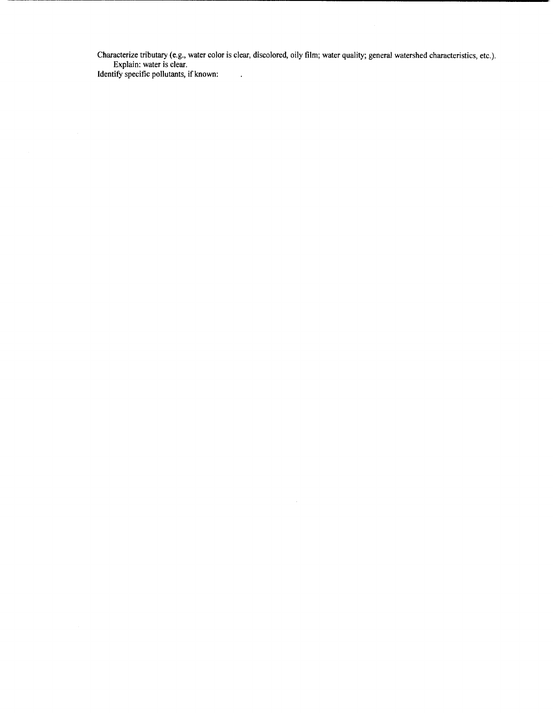Characterize tributary (e.g., water color is clear, discolored, oily film; water quality; general watershed characteristics, etc.). Explain: water is clear.

Identity specific pollutants, if known: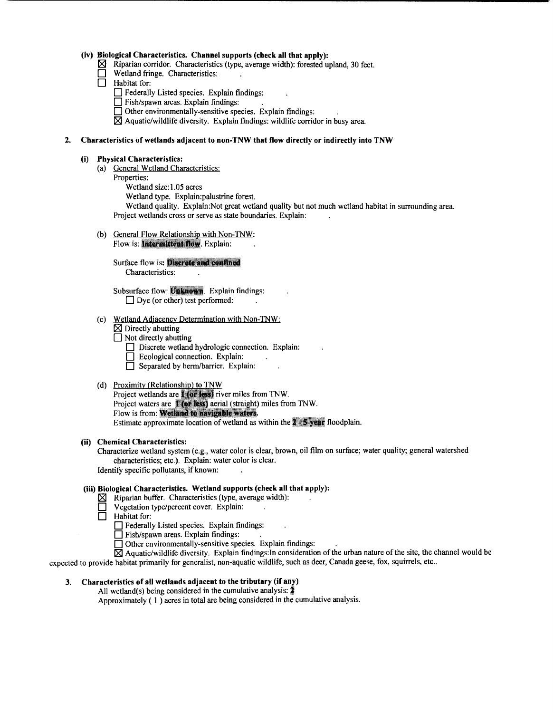# **(iv) Biological Characteristics. Channel supports (check all that apply):**

- $\boxtimes$  Riparian corridor. Characteristics (type, average width): forested upland, 30 feet.
- Wetland fringe. Characteristics:
- **0** Habitat for:
	- **D** Federally Listed species. Explain findings:
	- **D** Fish/spawn areas. Explain findings:
	- $\Box$  Other environmentally-sensitive species. Explain findings:
	- $\boxtimes$  Aquatic/wildlife diversity. Explain findings: wildlife corridor in busy area.

# **2. Characteristics of wetlands adjacent to non-TNW that flow directly or indirectly into TNW**

#### **(i) Physical Characteristics:**

- (a) General Wetland Characteristics:
	- Properties:
		- Wetland size:1.05 acres
		- Wetland type. Explain:palustrine forest.

Wetland quality. Explain:Not great wetland quality but not much wetland habitat in surrounding area. Project wetlands cross or serve as state boundaries. Explain:

- (b) General Flow Relationship with Non-TNW:
	- Flow is: Intermittent flow. Explain:

Surface flow is: Discrete and confined Characteristics:

Subsurface flow: Unknown. Explain findings:  $\Box$  Dye (or other) test performed:

- (c) Wetland Adjacency Determination with Non-TNW:
	- $\boxtimes$  Directly abutting
	- □ Not directly abutting
		- Discrete wetland hydrologic connection. Explain:
		- $\Box$  Ecological connection. Explain:
		- **0** Separated by berm/barrier. Explain:
- (d) Proximity (Relationship) to TNW

Project wetlands are **Max less**) river miles from TNW. Project waters are **1 (or less)** aerial (straight) miles from TNW. Flow is from: Wetland to navigable waters. Estimate approximate location of wetland as within the  $2 \cdot 5$  year floodplain.

#### **(ii) Chemical Characteristics:**

Characterize wetland system (e.g., water color is clear, brown, oil film on surface; water quality; general watershed characteristics; etc.). Explain: water color is clear. Identify specific pollutants, if known:

# **(iii) Biological Characteristics. Wetland supports (check all that apply):**

- $\boxtimes$  Riparian buffer. Characteristics (type, average width):
	- **0** Vegetation type/percent cover. Explain:
- $\Box$  Habitat for:
	- **0** Federally Listed species. Explain findings:

 $\Box$  Fish/spawn areas. Explain findings:

**0** Other environmentally-sensitive species. Explain findings:

 $\boxtimes$  Aquatic/wildlife diversity. Explain findings: In consideration of the urban nature of the site, the channel would be expected to provide habitat primarily for generalist, non-aquatic wildlife, such as deer, Canada geese, fox, squirrels, etc ..

# **3. Characteristics of all wetlands adjacent to the tributary (if any)**

All wetland(s) being considered in the cumulative analysis:  $\frac{3}{4}$ Approximately ( I ) acres in total are being considered in the cumulative analysis.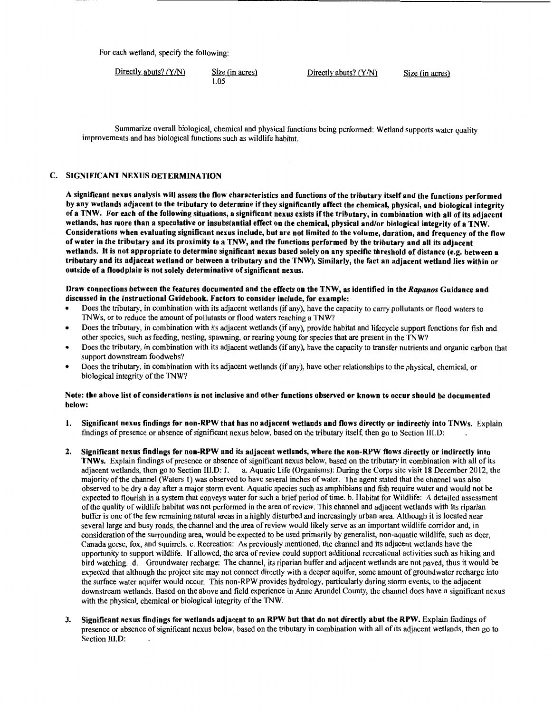For each wetland, specify the following:

Directly abuts?  $(Y/N)$  Size (in acres) 1.05

Directly abuts?  $(Y/N)$  Size (in acres)

Summarize overall biological, chemical and physical functions being performed: Wetland supports water quality improvements and has biological functions such as wildlife habitat.

# C. SIGNIFICANT NEXUS DETERMINATION

A significant nexus analysis will assess the flow characteristics and functions ofthe tributary itself and the functions performed by any wetlands adjacent to the tributary to determine if they significantly affect the chemical, physical, and biological integrity of a TNW. For each ofthe following situations, a significant nexus exists ifthe tributary, in combination with all of its adjacent wetlands, has more than a speculative or insubstantial effect on the chemical, physical and/or biological integrity of a TNW. Considerations when evaluating significant nexus include, but are not limited to the volume, duration, and frequency of the flow of water in the tributary and its proximity to a TNW, and the functions performed by the tributary and all its adjacent wetlands. It is not appropriate to determine significant nexus based solely on any specific threshold of distance (e.g. between a tributary and its adjacent wetland or between a tributary and the TNW). Similarly, the fact an adjacent wetland lies within or outside of a floodplain is not solely determinative of significant nexus.

Draw connections between the features documented and the effects on the TNW, as identified in the *Rapanos* Guidance and discussed in the Instructional Guidebook. Factors to consider include, for example:

- Does the tributary, in combination with its adjacent wetlands (if any), have the capacity to carry pollutants or flood waters to TNWs, or to reduce the amount of pollutants or flood waters reaching a TNW?
- Does the tributary, in combination with its adjacent wetlands (if any), provide habitat and lifecycle support functions for fish and other species, such as feeding, nesting, spawning, or rearing young for species that are present in the TNW?
- Does the tributary, in combination with its adjacent wetlands (if any), have the capacity to transfer nutrients and organic carbon that support downstream foodwebs?
- Does the tributary, in combination with its adjacent wetlands (if any), have other relationships to the physical, chemical, or biological integrity of the TNW?

#### Note: the above list of considerations is not inclusive and other functions observed or known to occur should be documented below:

- 1. Significant nexus findings for non-RPW that has no adjacent wetlands and flows directly or indirectly into TNWs. Explain findings of presence or absence of significant nexus below, based on the tributary itself, then go to Section lll.D:
- 2. Significant nexus findings for non-RPW and its adjacent wetlands, where the non-RPW flows directly or indirectly into TNWs. Explain findings of presence or absence of significant nexus below, based on the tributary in combination with all of its adjacent wetlands, then go to Section Ill.D: I. a. Aquatic Life (Organisms): During the Corps site visit 18 December 2012, the majority of the channel (Waters 1) was observed to have several inches of water. The agent stated that the channel was also observed to be dry a day after a major storm event. Aquatic species such as amphibians and fish require water and would not be expected to flourish in a system that conveys water for such a brief period of time. b. Habitat for Wildlife: A detailed assessment of the quality of wildlife habitat was not performed in the area of review. This channel and adjacent wetlands with its riparian buffer is one of the few remaining natural areas in a highly disturbed and increasingly urban area. Although it is located near several large and busy roads, the channel and the area of review would likely serve as an important wildlife corridor and, in consideration of the surrounding area, would be expected to be used primarily by generalist, non-aquatic wildlife, such as deer, Canada geese, fox, and squirrels. c. Recreation: As previously mentioned, the channel and its adjacent wetlands have the opportunity to support wildlife. If allowed, the area of review could support additional recreational activities such as hiking and bird watching. d. Groundwater recharge: The channel, its riparian buffer and adjacent wetlands are not paved, thus it would be expected that although the project site may not connect directly with a deeper aquifer, some amount of groundwater recharge into the surface water aquifer would occur. This non-RPW provides hydrology, particularly during storm events, to the adjacent downstream wetlands. Based on the above and field experience in Anne Arundel County, the channel does have a significant nexus with the physical, chemical or biological integrity of the TNW.
- 3. Significant nexus findings for wetlands adjacent to an RPW but that do not directly abut the RPW. Explain findings of presence or absence of significant nexus below, based on the tributary in combination with all of its adjacent wetlands, then go to Section Ili.D: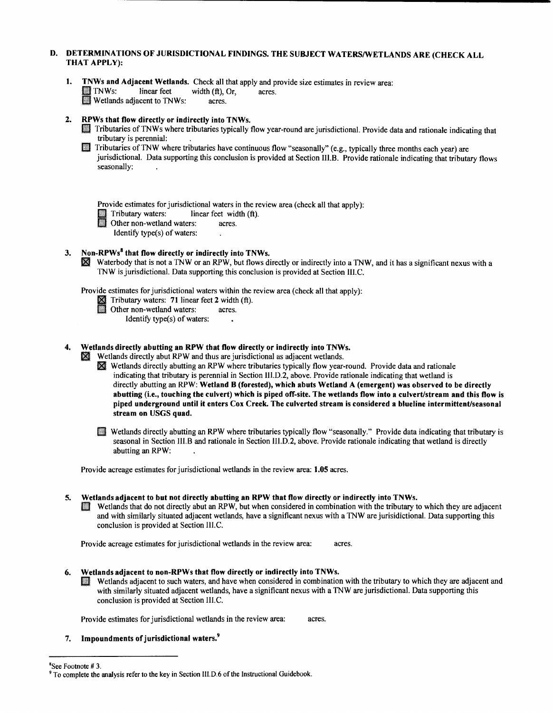# D. DETERMINATIONS OF JURISDICTIONAL FINDINGS. THE SUBJECT WATERS/WETLANDS ARE (CHECK ALL THAT APPLY):

**1. TNWs and Adjacent Wetlands.** Check all that apply and provide size estimates in review area: **II** TNWs: linear feet width  $(ft)$ , Or, acres. **following** TNWs: linear feet width (ft), Or,<br>**Wetlands adjacent to TNWs: acres.** 

# 2. RPWs that flow directly or indirectly into TNWs.

**Filt** Tributaries of TNWs where tributaries typically flow year-round are jurisdictional. Provide data and rationale indicating that tributary is perennial: .

fll Tributaries ofTNW where tributaries have continuous flow "seasonally" (e.g., typically three months each year) are jurisdictional. Data supporting this conclusion is provided at Section III.B. Provide rationale indicating that tributary flows seasonally:

Provide estimates for jurisdictional waters in the review area (check all that apply):

I. Tributary waters: linear feet width (ft).<br>
Other non-wetland waters: acres.

Identify type(s) of waters:

# 3. Non-RPWs<sup>8</sup> that flow directly or indirectly into TNWs.

II Waterbody that is not a TNW or an RPW, but flows directly or indirectly into a TNW, and it has a significant nexus with a TNW is jurisdictional. Data supporting this conclusion is provided at Section Ill. C.

Provide estimates for jurisdictional waters within the review area (check all that apply):

- I Tributary waters: 71 linear feet 2 width (ft).<br>
Other non-wetland waters: acres.<br>
Mantife tung(a) of unters.
- - Identify type $(s)$  of waters:

# 4. Wetlands directly abutting an RPW that flow directly or indirectly into TNWs.

- **Wetlands directly abut RPW and thus are jurisdictional as adjacent wetlands.** 
	- III Wetlands directly abutting an RPW where tributaries typically flow year-round. Provide data and rationale indicating that tributary is perennial in Section III.D.2, above. Provide rationale indicating that wetland is directly abutting an RPW: Wetland B (forested), which abuts Wetland A (emergent) was observed to be directly abutting (i.e., touching the culvert) which is piped off-site. The wetlands flow into a culvert/stream and this flow is piped underground until it enters Cox Creek. The culverted stream is considered a blueline intermittent/seasonal stream on USGS quad.
	- Ill Wetlands directly abutting an RPW where tributaries typically flow "seasonally." Provide data indicating that tributary is seasonal in Section III.B and rationale in Section III.D.2, above. Provide rationale indicating that wetland is directly abutting an RPW:

Provide acreage estimates for jurisdictional wetlands in the review area: 1.05 acres.

#### 5. Wetlands adjacent to but not directly abutting an RPW that flow directly or indirectly into TNWs.

Wetlands that do not directly abut an RPW, but when considered in combination with the tributary to which they are adjacent and with similarly situated adjacent wetlands, have a significant nexus with a TNW are jurisidictional. Data supporting this conclusion is provided at Section III.C.

Provide acreage estimates for jurisdictional wetlands in the review area: acres.

- 
- 6. Wetlands adjacent to non-RPWs that flow directly or indirectly into TNWs.<br>Fig. Wetlands adjacent to such waters, and have when considered in combination with the tributary to which they are adjacent and with similarly situated adjacent wetlands, have a significant nexus with a TNW are jurisdictional. Data supporting this conclusion is provided at Section III.C.

Provide estimates for jurisdictional wetlands in the review area: acres.

7. Impoundments of jurisdictional waters.<sup>9</sup>

<sup>&</sup>lt;sup>8</sup>See Footnote # 3. 9  $\mu$  3. 9 To complete the analysis refer to the key in Section III.D.6 of the Instructional Guidebook.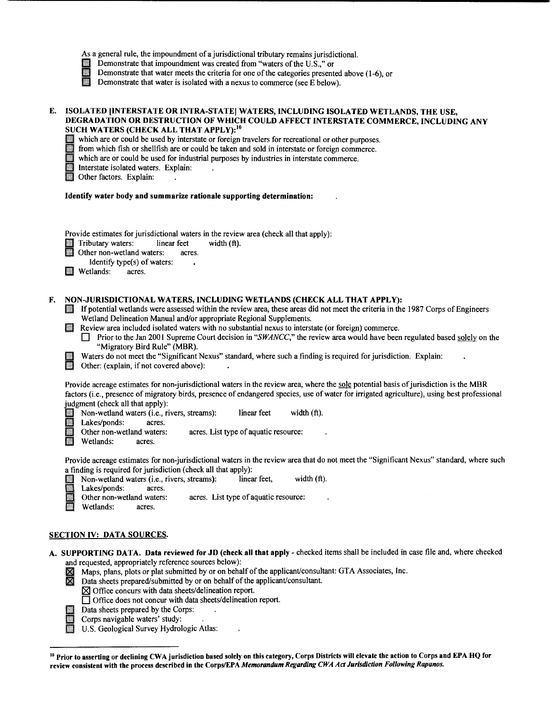|  |  |  |  | As a general rule, the impoundment of a jurisdictional tributary remains jurisdictional. |  |  |  |
|--|--|--|--|------------------------------------------------------------------------------------------|--|--|--|
|--|--|--|--|------------------------------------------------------------------------------------------|--|--|--|

- 
- Demonstrate that impoundment was created from "waters of the U.S.," or<br>Demonstrate that water meets the criteria for one of the categories present<br>Demonstrate that water is isolated with a nexus to commerce (see E below Demonstrate that water meets the criteria for one of the categories presented above (1-6), or
- Demonstrate that water is isolated with a nexus to commerce (see E below).

### E. ISOLATED (INTERSTATE OR INTRA-STATEJ WATERS, INCLUDING ISOLATED WETLANDS, THE USE, DEGRADATION OR DESTRUCTION OF WHICH COULD AFFECT INTERSTATE COMMERCE, INCLUDING ANY SUCH WATERS (CHECK ALL THAT APPLY):<sup>10</sup>

which are or could be used by interstate or foreign travelers for recreational or other purposes.

from which fish or shellfish are or could be taken and sold in interstate or foreign commerce.

which are or could be used for industrial purposes by industries in interstate commerce.

Interstate isolated waters. Explain: .

Interstate isolated water<br>
Other factors. Explain:

#### Identify water body and summarize rationale supporting determination:

Provide estimates for jurisdictional waters in the review area (check all that apply):

I Tributary waters: linear feet width (ft).<br>
Other non-wetland waters: acres.<br>
Identify turned of waters.

iwaters:

| Identify type(s) of |  |
|---------------------|--|
|                     |  |

**If** Wetlands: acres.

- F. NON-JURISDICTIONAL WATERS, INCLUDING WETLANDS (CHECK ALL THAT APPLY):<br>If potential wetlands were assessed within the review area, these areas did not meet the criteria in the 1987 Corps of Engineers Wetland Delineation Manual and/or appropriate Regional Supplements.
	- **EXECUTE:** Review area included isolated waters with no substantial nexus to interstate (or foreign) commerce.
		- D Prior to the Jan 2001 Supreme Court decision in *"SWANCC,"* the review area would have been regulated based solely on the "Migratory Bird Rule" (MBR).
	- Waters do not meet the "Significant Nexus" standard, where such a finding is required for jurisdiction. Explain: Other: (explain, if not covered above):

Provide acreage estimates for non-jurisdictional waters in the review area, where the sole potential basis of jurisdiction is the MBR factors (i.e., presence of migratory birds, presence of endangered species, use of water for irrigated agriculture), using best professional judgment (check all that apply):

**I Non-wetland waters (i.e., rivers, streams):**<br> **Lakes/ponds:** acres.<br> **Other non-wetland waters:** acres. List linear feet width (ft).

Lakes/ponds:

II Other non-wetland waters: acres. List type of aquatic resource:<br>Wetlands: acres.

Wetlands:

Provide acreage estimates for non-jurisdictional waters in the review area that do not meet the "Significant Nexus" standard, where such a finding is required for jurisdiction (check all that apply):

Non-wetland waters (i.e., rivers, streams): linear feet, width (ft).<br>Lakes/ponds: acres.

Other non-wetland waters:<br>Wetlands: acres. acres. List type of aquatic resource:

Wetlands:

# SECTION IV: DATA SOURCES.

- A. SUPPORTING DATA. Data reviewed for JD (check all that apply- checked items shall be included in case file and, where checked and requested, appropriately reference sources below):
	- $\boxtimes$  Maps, plans, plots or plat submitted by or on behalf of the applicant/consultant: GTA Associates, Inc.
		- Data sheets prepared/submitted by or on behalf of the applicant/consultant.

 $\boxtimes$  Office concurs with data sheets/delineation report.

- □ Office does not concur with data sheets/delineation report.<br>Data sheets prepared by the Corps:
- Data sheets prepared by the Corps:<br>
Corps navigable waters' study:<br>
U.S. Geological Survey Hydrologic
	- Corps navigable waters' study:
	- U.S. Geological Survey Hydrologic Atlas:

<sup>&</sup>lt;sup>10</sup> Prior to asserting or declining CWA jurisdiction based solely on this category, Corps Districts will elevate the action to Corps and EPA HQ for review consistent with the process described in the Corps/EPA *Memorandum Regarding CWA Act Jurisdiction Following Rapanos.*